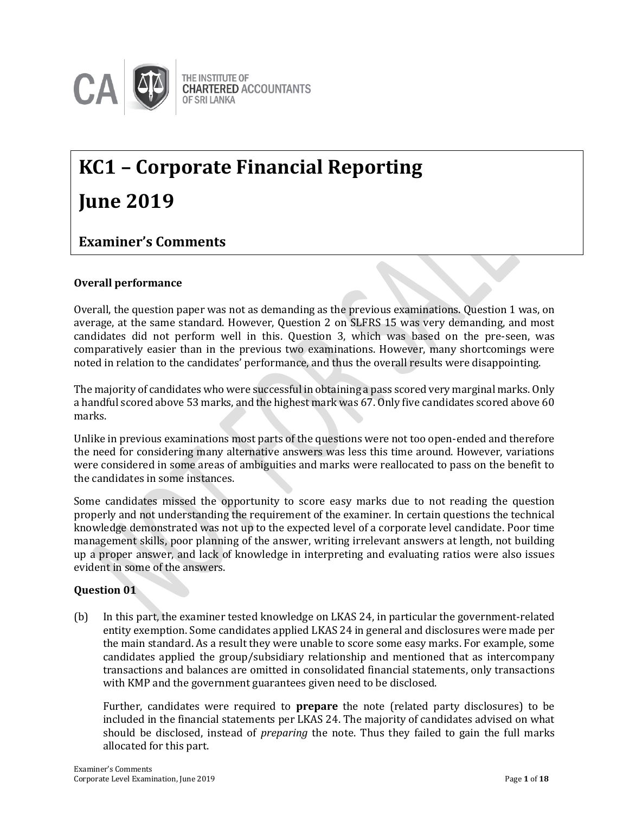

## **KC1 – Corporate Financial Reporting June 2019**

### **Examiner's Comments**

### **Overall performance**

Overall, the question paper was not as demanding as the previous examinations. Question 1 was, on average, at the same standard. However, Question 2 on SLFRS 15 was very demanding, and most candidates did not perform well in this. Question 3, which was based on the pre-seen, was comparatively easier than in the previous two examinations. However, many shortcomings were noted in relation to the candidates' performance, and thus the overall results were disappointing.

The majority of candidates who were successful in obtaining a pass scored very marginal marks. Only a handful scored above 53 marks, and the highest mark was 67. Only five candidates scored above 60 marks.

Unlike in previous examinations most parts of the questions were not too open-ended and therefore the need for considering many alternative answers was less this time around. However, variations were considered in some areas of ambiguities and marks were reallocated to pass on the benefit to the candidates in some instances.

Some candidates missed the opportunity to score easy marks due to not reading the question properly and not understanding the requirement of the examiner. In certain questions the technical knowledge demonstrated was not up to the expected level of a corporate level candidate. Poor time management skills, poor planning of the answer, writing irrelevant answers at length, not building up a proper answer, and lack of knowledge in interpreting and evaluating ratios were also issues evident in some of the answers.

### **Question 01**

(b) In this part, the examiner tested knowledge on LKAS 24, in particular the government-related entity exemption. Some candidates applied LKAS 24 in general and disclosures were made per the main standard. As a result they were unable to score some easy marks. For example, some candidates applied the group/subsidiary relationship and mentioned that as intercompany transactions and balances are omitted in consolidated financial statements, only transactions with KMP and the government guarantees given need to be disclosed.

Further, candidates were required to **prepare** the note (related party disclosures) to be included in the financial statements per LKAS 24. The majority of candidates advised on what should be disclosed, instead of *preparing* the note. Thus they failed to gain the full marks allocated for this part.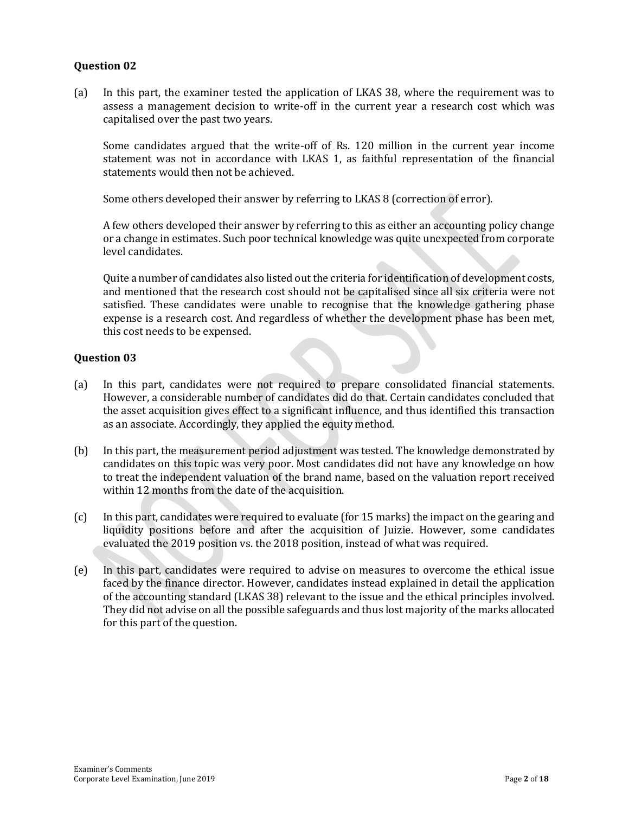(a) In this part, the examiner tested the application of LKAS 38, where the requirement was to assess a management decision to write-off in the current year a research cost which was capitalised over the past two years.

Some candidates argued that the write-off of Rs. 120 million in the current year income statement was not in accordance with LKAS 1, as faithful representation of the financial statements would then not be achieved.

Some others developed their answer by referring to LKAS 8 (correction of error).

A few others developed their answer by referring to this as either an accounting policy change or a change in estimates. Such poor technical knowledge was quite unexpected from corporate level candidates.

Quite a number of candidates also listed out the criteria for identification of development costs, and mentioned that the research cost should not be capitalised since all six criteria were not satisfied. These candidates were unable to recognise that the knowledge gathering phase expense is a research cost. And regardless of whether the development phase has been met, this cost needs to be expensed.

### **Question 03**

- (a) In this part, candidates were not required to prepare consolidated financial statements. However, a considerable number of candidates did do that. Certain candidates concluded that the asset acquisition gives effect to a significant influence, and thus identified this transaction as an associate. Accordingly, they applied the equity method.
- (b) In this part, the measurement period adjustment was tested. The knowledge demonstrated by candidates on this topic was very poor. Most candidates did not have any knowledge on how to treat the independent valuation of the brand name, based on the valuation report received within 12 months from the date of the acquisition.
- (c) In this part, candidates were required to evaluate (for 15 marks) the impact on the gearing and liquidity positions before and after the acquisition of Juizie. However, some candidates evaluated the 2019 position vs. the 2018 position, instead of what was required.
- (e) In this part, candidates were required to advise on measures to overcome the ethical issue faced by the finance director. However, candidates instead explained in detail the application of the accounting standard (LKAS 38) relevant to the issue and the ethical principles involved. They did not advise on all the possible safeguards and thus lost majority of the marks allocated for this part of the question.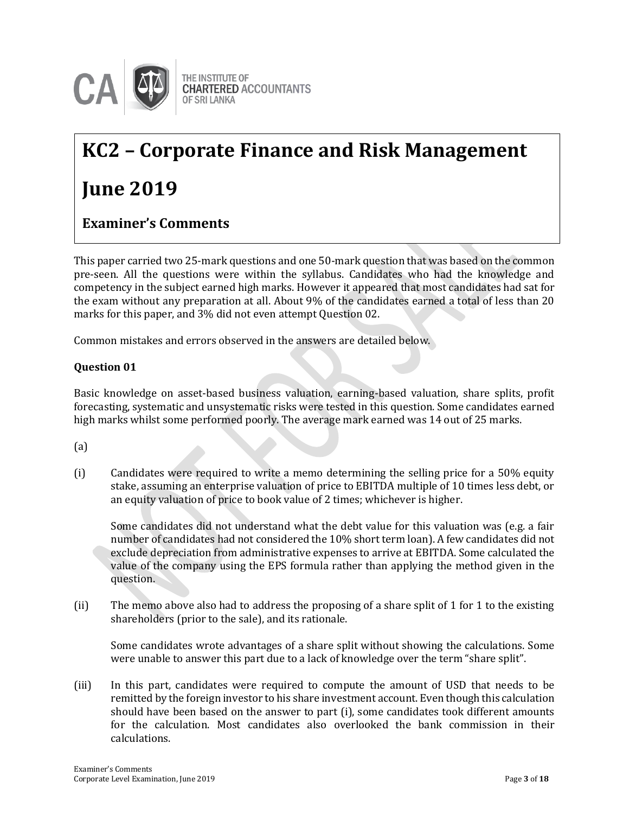

# **KC2 – Corporate Finance and Risk Management**

## **June 2019**

### **Examiner's Comments**

This paper carried two 25-mark questions and one 50-mark question that was based on the common pre-seen. All the questions were within the syllabus. Candidates who had the knowledge and competency in the subject earned high marks. However it appeared that most candidates had sat for the exam without any preparation at all. About 9% of the candidates earned a total of less than 20 marks for this paper, and 3% did not even attempt Question 02.

Common mistakes and errors observed in the answers are detailed below.

### **Question 01**

Basic knowledge on asset-based business valuation, earning-based valuation, share splits, profit forecasting, systematic and unsystematic risks were tested in this question. Some candidates earned high marks whilst some performed poorly. The average mark earned was 14 out of 25 marks.

(a)

(i) Candidates were required to write a memo determining the selling price for a 50% equity stake, assuming an enterprise valuation of price to EBITDA multiple of 10 times less debt, or an equity valuation of price to book value of 2 times; whichever is higher.

Some candidates did not understand what the debt value for this valuation was (e.g. a fair number of candidates had not considered the 10% short term loan). A few candidates did not exclude depreciation from administrative expenses to arrive at EBITDA. Some calculated the value of the company using the EPS formula rather than applying the method given in the question.

(ii) The memo above also had to address the proposing of a share split of 1 for 1 to the existing shareholders (prior to the sale), and its rationale.

Some candidates wrote advantages of a share split without showing the calculations. Some were unable to answer this part due to a lack of knowledge over the term "share split".

(iii) In this part, candidates were required to compute the amount of USD that needs to be remitted by the foreign investor to his share investment account. Even though this calculation should have been based on the answer to part (i), some candidates took different amounts for the calculation. Most candidates also overlooked the bank commission in their calculations.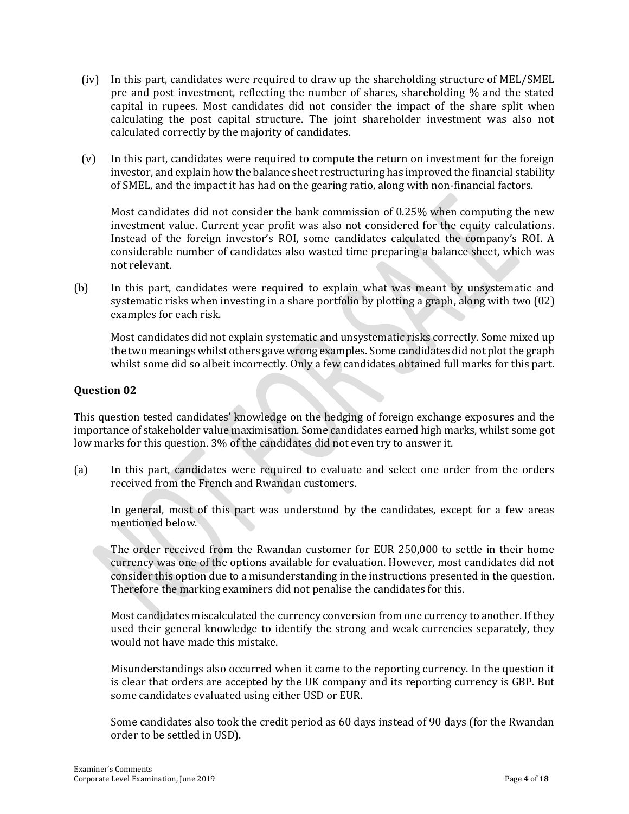- (iv) In this part, candidates were required to draw up the shareholding structure of MEL/SMEL pre and post investment, reflecting the number of shares, shareholding % and the stated capital in rupees. Most candidates did not consider the impact of the share split when calculating the post capital structure. The joint shareholder investment was also not calculated correctly by the majority of candidates.
- (v) In this part, candidates were required to compute the return on investment for the foreign investor, and explain how the balance sheet restructuring has improved the financial stability of SMEL, and the impact it has had on the gearing ratio, along with non-financial factors.

Most candidates did not consider the bank commission of 0.25% when computing the new investment value. Current year profit was also not considered for the equity calculations. Instead of the foreign investor's ROI, some candidates calculated the company's ROI. A considerable number of candidates also wasted time preparing a balance sheet, which was not relevant.

(b) In this part, candidates were required to explain what was meant by unsystematic and systematic risks when investing in a share portfolio by plotting a graph, along with two (02) examples for each risk.

Most candidates did not explain systematic and unsystematic risks correctly. Some mixed up the two meanings whilst others gave wrong examples. Some candidates did not plot the graph whilst some did so albeit incorrectly. Only a few candidates obtained full marks for this part.

### **Question 02**

This question tested candidates' knowledge on the hedging of foreign exchange exposures and the importance of stakeholder value maximisation. Some candidates earned high marks, whilst some got low marks for this question. 3% of the candidates did not even try to answer it.

(a) In this part, candidates were required to evaluate and select one order from the orders received from the French and Rwandan customers.

In general, most of this part was understood by the candidates, except for a few areas mentioned below.

The order received from the Rwandan customer for EUR 250,000 to settle in their home currency was one of the options available for evaluation. However, most candidates did not consider this option due to a misunderstanding in the instructions presented in the question. Therefore the marking examiners did not penalise the candidates for this.

Most candidates miscalculated the currency conversion from one currency to another. If they used their general knowledge to identify the strong and weak currencies separately, they would not have made this mistake.

Misunderstandings also occurred when it came to the reporting currency. In the question it is clear that orders are accepted by the UK company and its reporting currency is GBP. But some candidates evaluated using either USD or EUR.

Some candidates also took the credit period as 60 days instead of 90 days (for the Rwandan order to be settled in USD).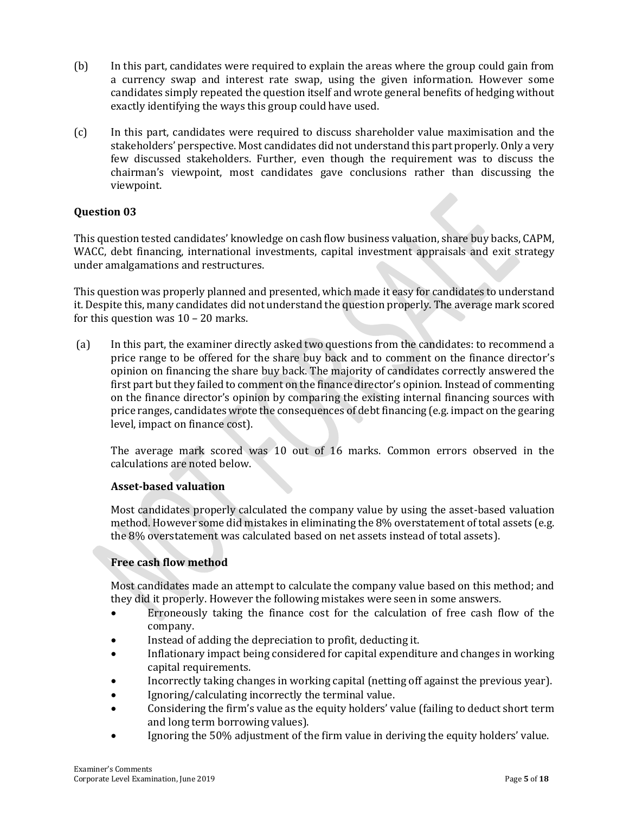- (b) In this part, candidates were required to explain the areas where the group could gain from a currency swap and interest rate swap, using the given information. However some candidates simply repeated the question itself and wrote general benefits of hedging without exactly identifying the ways this group could have used.
- (c) In this part, candidates were required to discuss shareholder value maximisation and the stakeholders' perspective. Most candidates did not understand this part properly. Only a very few discussed stakeholders. Further, even though the requirement was to discuss the chairman's viewpoint, most candidates gave conclusions rather than discussing the viewpoint.

This question tested candidates' knowledge on cash flow business valuation, share buy backs, CAPM, WACC, debt financing, international investments, capital investment appraisals and exit strategy under amalgamations and restructures.

This question was properly planned and presented, which made it easy for candidates to understand it. Despite this, many candidates did not understand the question properly. The average mark scored for this question was 10 – 20 marks.

(a) In this part, the examiner directly asked two questions from the candidates: to recommend a price range to be offered for the share buy back and to comment on the finance director's opinion on financing the share buy back. The majority of candidates correctly answered the first part but they failed to comment on the finance director's opinion. Instead of commenting on the finance director's opinion by comparing the existing internal financing sources with price ranges, candidates wrote the consequences of debt financing (e.g. impact on the gearing level, impact on finance cost).

The average mark scored was 10 out of 16 marks. Common errors observed in the calculations are noted below.

### **Asset-based valuation**

Most candidates properly calculated the company value by using the asset-based valuation method. However some did mistakes in eliminating the 8% overstatement of total assets (e.g. the 8% overstatement was calculated based on net assets instead of total assets).

### **Free cash flow method**

Most candidates made an attempt to calculate the company value based on this method; and they did it properly. However the following mistakes were seen in some answers.

- Erroneously taking the finance cost for the calculation of free cash flow of the company.
- Instead of adding the depreciation to profit, deducting it.
- Inflationary impact being considered for capital expenditure and changes in working capital requirements.
- Incorrectly taking changes in working capital (netting off against the previous year).
- Ignoring/calculating incorrectly the terminal value.
- Considering the firm's value as the equity holders' value (failing to deduct short term and long term borrowing values).
- Ignoring the 50% adjustment of the firm value in deriving the equity holders' value.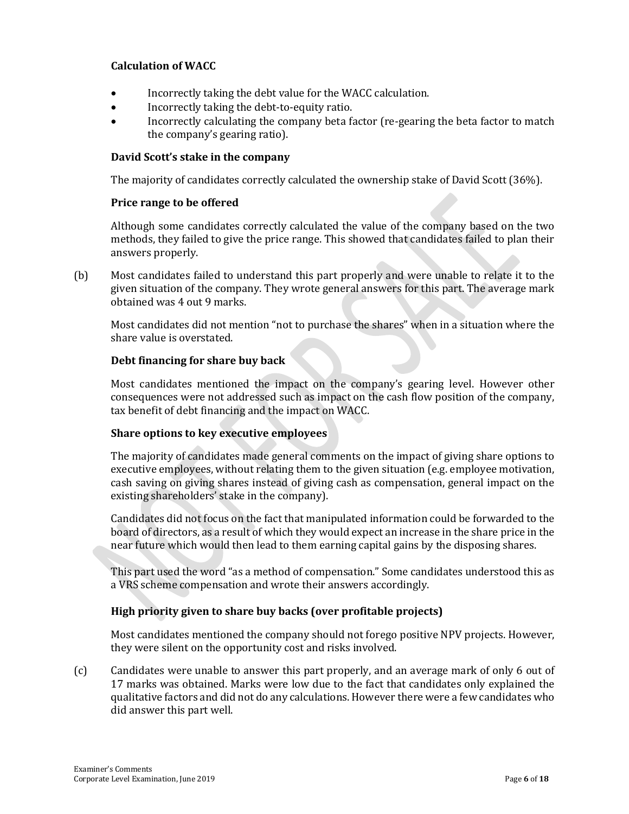### **Calculation of WACC**

- Incorrectly taking the debt value for the WACC calculation.
- Incorrectly taking the debt-to-equity ratio.
- Incorrectly calculating the company beta factor (re-gearing the beta factor to match the company's gearing ratio).

### **David Scott's stake in the company**

The majority of candidates correctly calculated the ownership stake of David Scott (36%).

### **Price range to be offered**

Although some candidates correctly calculated the value of the company based on the two methods, they failed to give the price range. This showed that candidates failed to plan their answers properly.

(b) Most candidates failed to understand this part properly and were unable to relate it to the given situation of the company. They wrote general answers for this part. The average mark obtained was 4 out 9 marks.

Most candidates did not mention "not to purchase the shares" when in a situation where the share value is overstated.

### **Debt financing for share buy back**

Most candidates mentioned the impact on the company's gearing level. However other consequences were not addressed such as impact on the cash flow position of the company, tax benefit of debt financing and the impact on WACC.

### **Share options to key executive employees**

The majority of candidates made general comments on the impact of giving share options to executive employees, without relating them to the given situation (e.g. employee motivation, cash saving on giving shares instead of giving cash as compensation, general impact on the existing shareholders' stake in the company).

Candidates did not focus on the fact that manipulated information could be forwarded to the board of directors, as a result of which they would expect an increase in the share price in the near future which would then lead to them earning capital gains by the disposing shares.

This part used the word "as a method of compensation." Some candidates understood this as a VRS scheme compensation and wrote their answers accordingly.

### **High priority given to share buy backs (over profitable projects)**

Most candidates mentioned the company should not forego positive NPV projects. However, they were silent on the opportunity cost and risks involved.

(c) Candidates were unable to answer this part properly, and an average mark of only 6 out of 17 marks was obtained. Marks were low due to the fact that candidates only explained the qualitative factors and did not do any calculations. However there were a few candidates who did answer this part well.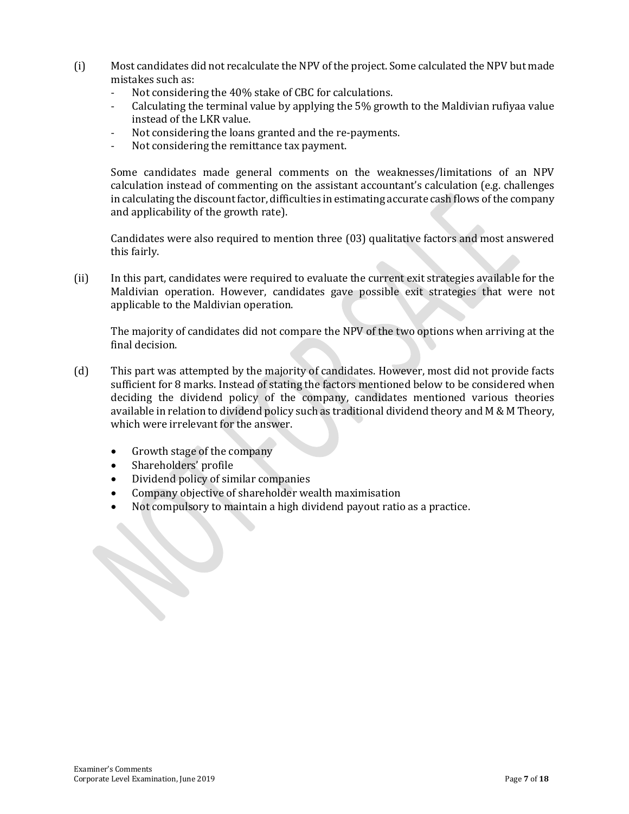- (i) Most candidates did not recalculate the NPV of the project. Some calculated the NPV but made mistakes such as:
	- Not considering the 40% stake of CBC for calculations.
	- Calculating the terminal value by applying the 5% growth to the Maldivian rufiyaa value instead of the LKR value.
	- Not considering the loans granted and the re-payments.
	- Not considering the remittance tax payment.

Some candidates made general comments on the weaknesses/limitations of an NPV calculation instead of commenting on the assistant accountant's calculation (e.g. challenges in calculating the discount factor, difficulties in estimating accurate cash flows of the company and applicability of the growth rate).

Candidates were also required to mention three (03) qualitative factors and most answered this fairly.

(ii) In this part, candidates were required to evaluate the current exit strategies available for the Maldivian operation. However, candidates gave possible exit strategies that were not applicable to the Maldivian operation.

The majority of candidates did not compare the NPV of the two options when arriving at the final decision.

- (d) This part was attempted by the majority of candidates. However, most did not provide facts sufficient for 8 marks. Instead of stating the factors mentioned below to be considered when deciding the dividend policy of the company, candidates mentioned various theories available in relation to dividend policy such as traditional dividend theory and M & M Theory, which were irrelevant for the answer.
	- Growth stage of the company
	- Shareholders' profile
	- Dividend policy of similar companies
	- Company objective of shareholder wealth maximisation
	- Not compulsory to maintain a high dividend payout ratio as a practice.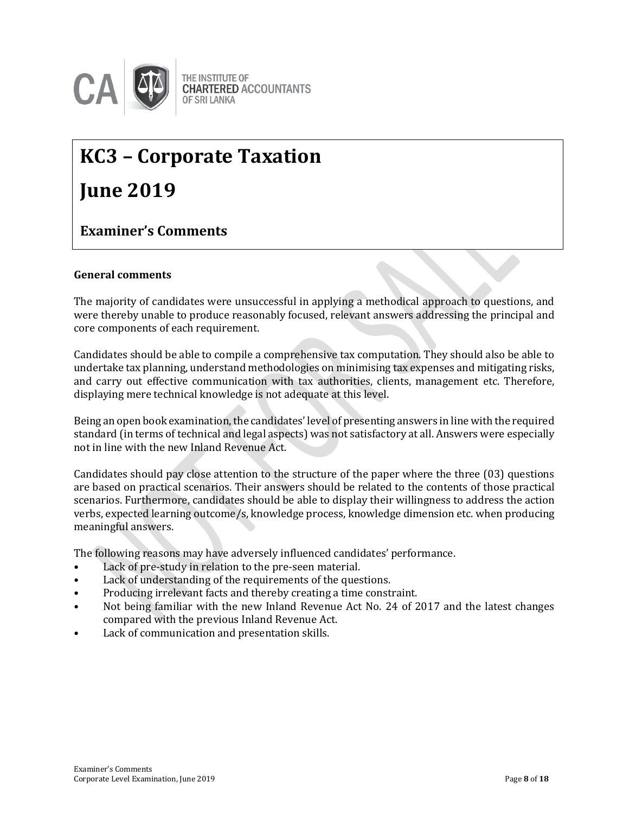

## **KC3 – Corporate Taxation**

## **June 2019**

### **Examiner's Comments**

### **General comments**

The majority of candidates were unsuccessful in applying a methodical approach to questions, and were thereby unable to produce reasonably focused, relevant answers addressing the principal and core components of each requirement.

Candidates should be able to compile a comprehensive tax computation. They should also be able to undertake tax planning, understand methodologies on minimising tax expenses and mitigating risks, and carry out effective communication with tax authorities, clients, management etc. Therefore, displaying mere technical knowledge is not adequate at this level.

Being an open book examination, the candidates' level of presenting answers in line with the required standard (in terms of technical and legal aspects) was not satisfactory at all. Answers were especially not in line with the new Inland Revenue Act.

Candidates should pay close attention to the structure of the paper where the three (03) questions are based on practical scenarios. Their answers should be related to the contents of those practical scenarios. Furthermore, candidates should be able to display their willingness to address the action verbs, expected learning outcome/s, knowledge process, knowledge dimension etc. when producing meaningful answers.

The following reasons may have adversely influenced candidates' performance.

- Lack of pre-study in relation to the pre-seen material.
- Lack of understanding of the requirements of the questions.
- Producing irrelevant facts and thereby creating a time constraint.
- Not being familiar with the new Inland Revenue Act No. 24 of 2017 and the latest changes compared with the previous Inland Revenue Act.
- Lack of communication and presentation skills.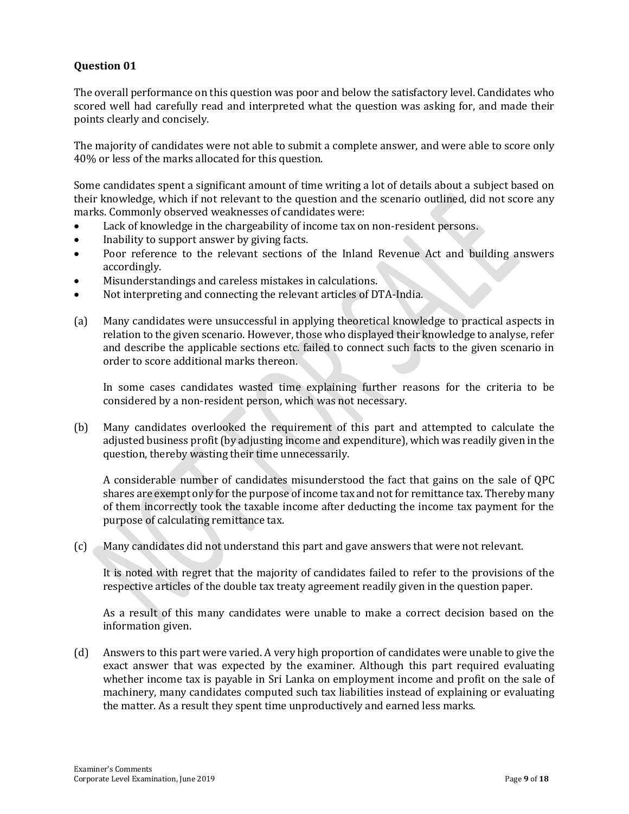The overall performance on this question was poor and below the satisfactory level. Candidates who scored well had carefully read and interpreted what the question was asking for, and made their points clearly and concisely.

The majority of candidates were not able to submit a complete answer, and were able to score only 40% or less of the marks allocated for this question.

Some candidates spent a significant amount of time writing a lot of details about a subject based on their knowledge, which if not relevant to the question and the scenario outlined, did not score any marks. Commonly observed weaknesses of candidates were:

- Lack of knowledge in the chargeability of income tax on non-resident persons.
- Inability to support answer by giving facts.
- Poor reference to the relevant sections of the Inland Revenue Act and building answers accordingly.
- Misunderstandings and careless mistakes in calculations.
- Not interpreting and connecting the relevant articles of DTA-India.
- (a) Many candidates were unsuccessful in applying theoretical knowledge to practical aspects in relation to the given scenario. However, those who displayed their knowledge to analyse, refer and describe the applicable sections etc. failed to connect such facts to the given scenario in order to score additional marks thereon.

In some cases candidates wasted time explaining further reasons for the criteria to be considered by a non-resident person, which was not necessary.

(b) Many candidates overlooked the requirement of this part and attempted to calculate the adjusted business profit (by adjusting income and expenditure), which was readily given in the question, thereby wasting their time unnecessarily.

A considerable number of candidates misunderstood the fact that gains on the sale of QPC shares are exempt only for the purpose of income tax and not for remittance tax. Thereby many of them incorrectly took the taxable income after deducting the income tax payment for the purpose of calculating remittance tax.

(c) Many candidates did not understand this part and gave answers that were not relevant.

It is noted with regret that the majority of candidates failed to refer to the provisions of the respective articles of the double tax treaty agreement readily given in the question paper.

As a result of this many candidates were unable to make a correct decision based on the information given.

(d) Answers to this part were varied. A very high proportion of candidates were unable to give the exact answer that was expected by the examiner. Although this part required evaluating whether income tax is payable in Sri Lanka on employment income and profit on the sale of machinery, many candidates computed such tax liabilities instead of explaining or evaluating the matter. As a result they spent time unproductively and earned less marks.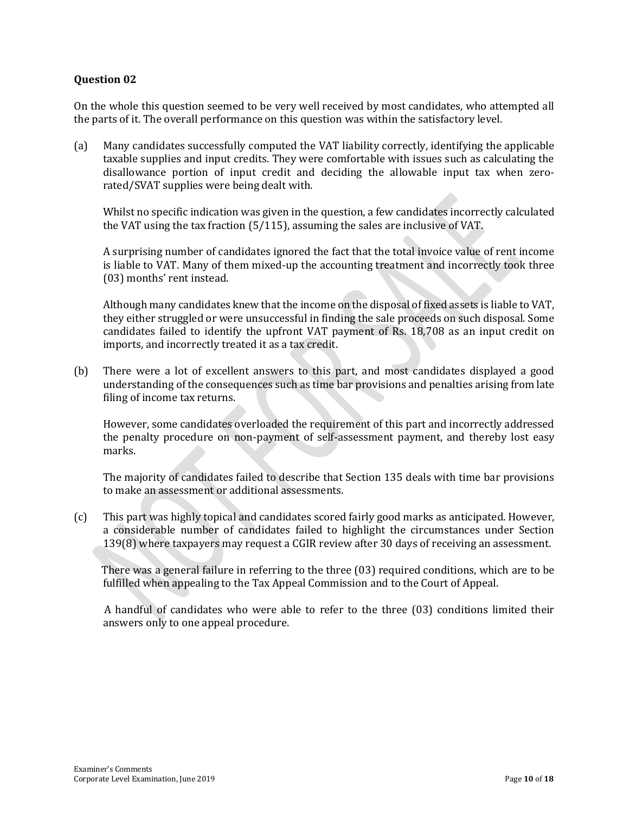On the whole this question seemed to be very well received by most candidates, who attempted all the parts of it. The overall performance on this question was within the satisfactory level.

(a) Many candidates successfully computed the VAT liability correctly, identifying the applicable taxable supplies and input credits. They were comfortable with issues such as calculating the disallowance portion of input credit and deciding the allowable input tax when zerorated/SVAT supplies were being dealt with.

Whilst no specific indication was given in the question, a few candidates incorrectly calculated the VAT using the tax fraction (5/115), assuming the sales are inclusive of VAT.

A surprising number of candidates ignored the fact that the total invoice value of rent income is liable to VAT. Many of them mixed-up the accounting treatment and incorrectly took three (03) months' rent instead.

Although many candidates knew that the income on the disposal of fixed assets is liable to VAT, they either struggled or were unsuccessful in finding the sale proceeds on such disposal. Some candidates failed to identify the upfront VAT payment of Rs. 18,708 as an input credit on imports, and incorrectly treated it as a tax credit.

(b) There were a lot of excellent answers to this part, and most candidates displayed a good understanding of the consequences such as time bar provisions and penalties arising from late filing of income tax returns.

However, some candidates overloaded the requirement of this part and incorrectly addressed the penalty procedure on non-payment of self-assessment payment, and thereby lost easy marks.

The majority of candidates failed to describe that Section 135 deals with time bar provisions to make an assessment or additional assessments.

(c) This part was highly topical and candidates scored fairly good marks as anticipated. However, a considerable number of candidates failed to highlight the circumstances under Section 139(8) where taxpayers may request a CGIR review after 30 days of receiving an assessment.

There was a general failure in referring to the three (03) required conditions, which are to be fulfilled when appealing to the Tax Appeal Commission and to the Court of Appeal.

A handful of candidates who were able to refer to the three (03) conditions limited their answers only to one appeal procedure.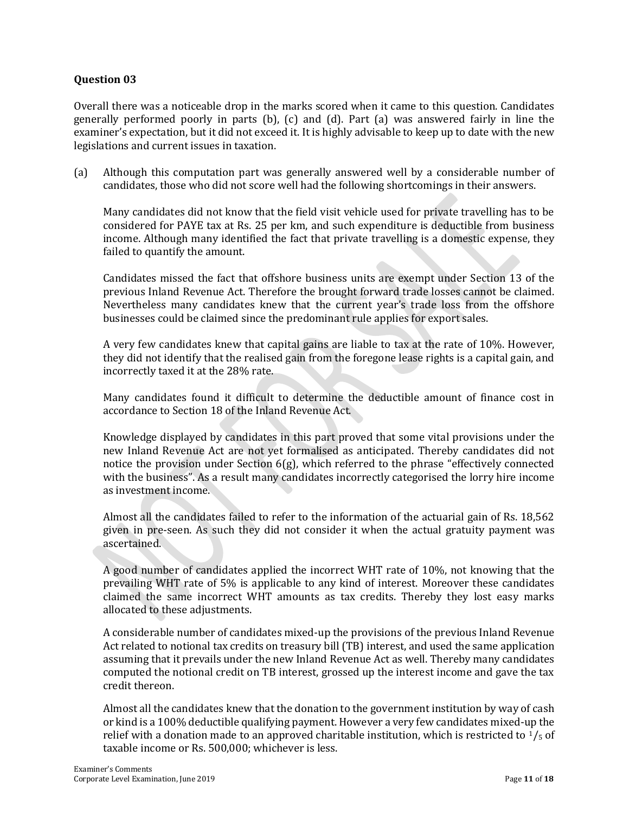Overall there was a noticeable drop in the marks scored when it came to this question. Candidates generally performed poorly in parts (b), (c) and (d). Part (a) was answered fairly in line the examiner's expectation, but it did not exceed it. It is highly advisable to keep up to date with the new legislations and current issues in taxation.

(a) Although this computation part was generally answered well by a considerable number of candidates, those who did not score well had the following shortcomings in their answers.

Many candidates did not know that the field visit vehicle used for private travelling has to be considered for PAYE tax at Rs. 25 per km, and such expenditure is deductible from business income. Although many identified the fact that private travelling is a domestic expense, they failed to quantify the amount.

Candidates missed the fact that offshore business units are exempt under Section 13 of the previous Inland Revenue Act. Therefore the brought forward trade losses cannot be claimed. Nevertheless many candidates knew that the current year's trade loss from the offshore businesses could be claimed since the predominant rule applies for export sales.

A very few candidates knew that capital gains are liable to tax at the rate of 10%. However, they did not identify that the realised gain from the foregone lease rights is a capital gain, and incorrectly taxed it at the 28% rate.

Many candidates found it difficult to determine the deductible amount of finance cost in accordance to Section 18 of the Inland Revenue Act.

Knowledge displayed by candidates in this part proved that some vital provisions under the new Inland Revenue Act are not yet formalised as anticipated. Thereby candidates did not notice the provision under Section  $6(g)$ , which referred to the phrase "effectively connected with the business". As a result many candidates incorrectly categorised the lorry hire income as investment income.

Almost all the candidates failed to refer to the information of the actuarial gain of Rs. 18,562 given in pre-seen. As such they did not consider it when the actual gratuity payment was ascertained.

A good number of candidates applied the incorrect WHT rate of 10%, not knowing that the prevailing WHT rate of 5% is applicable to any kind of interest. Moreover these candidates claimed the same incorrect WHT amounts as tax credits. Thereby they lost easy marks allocated to these adjustments.

A considerable number of candidates mixed-up the provisions of the previous Inland Revenue Act related to notional tax credits on treasury bill (TB) interest, and used the same application assuming that it prevails under the new Inland Revenue Act as well. Thereby many candidates computed the notional credit on TB interest, grossed up the interest income and gave the tax credit thereon.

Almost all the candidates knew that the donation to the government institution by way of cash or kind is a 100% deductible qualifying payment. However a very few candidates mixed-up the relief with a donation made to an approved charitable institution, which is restricted to  $\frac{1}{5}$  of taxable income or Rs. 500,000; whichever is less.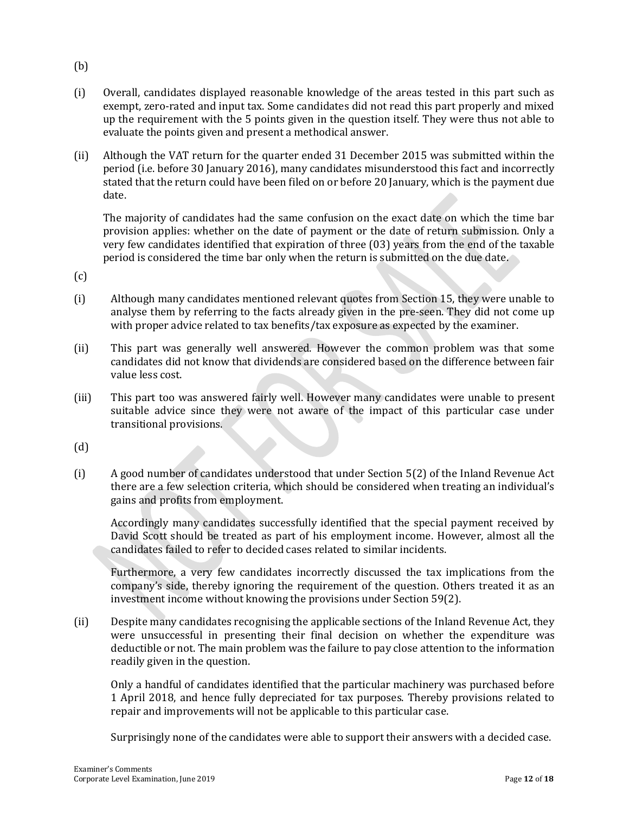- (b)
- (i) Overall, candidates displayed reasonable knowledge of the areas tested in this part such as exempt, zero-rated and input tax. Some candidates did not read this part properly and mixed up the requirement with the 5 points given in the question itself. They were thus not able to evaluate the points given and present a methodical answer.
- (ii) Although the VAT return for the quarter ended 31 December 2015 was submitted within the period (i.e. before 30 January 2016), many candidates misunderstood this fact and incorrectly stated that the return could have been filed on or before 20 January, which is the payment due date.

The majority of candidates had the same confusion on the exact date on which the time bar provision applies: whether on the date of payment or the date of return submission. Only a very few candidates identified that expiration of three (03) years from the end of the taxable period is considered the time bar only when the return is submitted on the due date.

(c)

- (i) Although many candidates mentioned relevant quotes from Section 15, they were unable to analyse them by referring to the facts already given in the pre-seen. They did not come up with proper advice related to tax benefits/tax exposure as expected by the examiner.
- (ii) This part was generally well answered. However the common problem was that some candidates did not know that dividends are considered based on the difference between fair value less cost.
- (iii) This part too was answered fairly well. However many candidates were unable to present suitable advice since they were not aware of the impact of this particular case under transitional provisions.
- (d)
- (i) A good number of candidates understood that under Section 5(2) of the Inland Revenue Act there are a few selection criteria, which should be considered when treating an individual's gains and profits from employment.

Accordingly many candidates successfully identified that the special payment received by David Scott should be treated as part of his employment income. However, almost all the candidates failed to refer to decided cases related to similar incidents.

Furthermore, a very few candidates incorrectly discussed the tax implications from the company's side, thereby ignoring the requirement of the question. Others treated it as an investment income without knowing the provisions under Section 59(2).

(ii) Despite many candidates recognising the applicable sections of the Inland Revenue Act, they were unsuccessful in presenting their final decision on whether the expenditure was deductible or not. The main problem was the failure to pay close attention to the information readily given in the question.

Only a handful of candidates identified that the particular machinery was purchased before 1 April 2018, and hence fully depreciated for tax purposes. Thereby provisions related to repair and improvements will not be applicable to this particular case.

Surprisingly none of the candidates were able to support their answers with a decided case.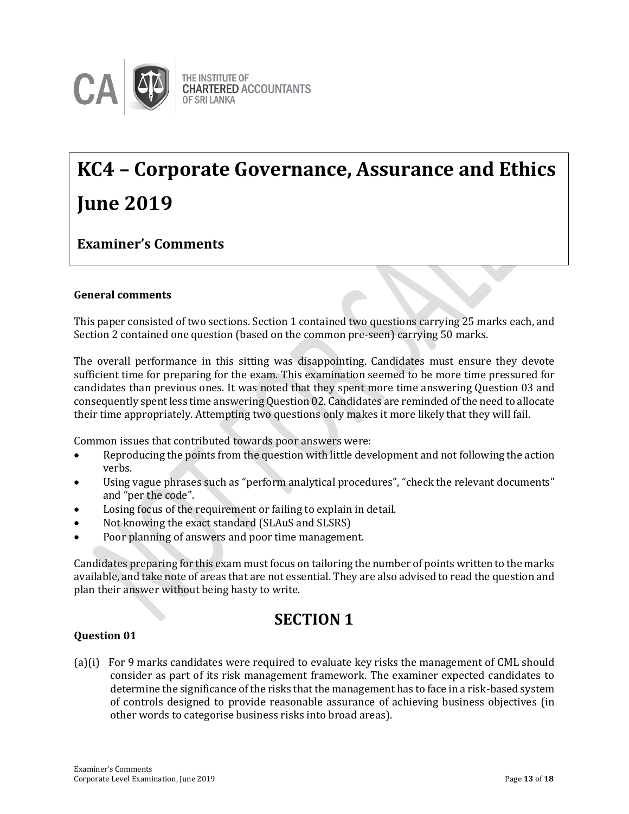

## **KC4 – Corporate Governance, Assurance and Ethics June 2019**

### **Examiner's Comments**

### **General comments**

This paper consisted of two sections. Section 1 contained two questions carrying 25 marks each, and Section 2 contained one question (based on the common pre-seen) carrying 50 marks.

The overall performance in this sitting was disappointing. Candidates must ensure they devote sufficient time for preparing for the exam. This examination seemed to be more time pressured for candidates than previous ones. It was noted that they spent more time answering Question 03 and consequently spent less time answering Question 02. Candidates are reminded of the need to allocate their time appropriately. Attempting two questions only makes it more likely that they will fail.

Common issues that contributed towards poor answers were:

- Reproducing the points from the question with little development and not following the action verbs.
- Using vague phrases such as "perform analytical procedures", "check the relevant documents" and "per the code".
- Losing focus of the requirement or failing to explain in detail.
- Not knowing the exact standard (SLAuS and SLSRS)
- Poor planning of answers and poor time management.

Candidates preparing for this exam must focus on tailoring the number of points written to the marks available, and take note of areas that are not essential. They are also advised to read the question and plan their answer without being hasty to write.

### **SECTION 1**

### **Question 01**

(a)(i) For 9 marks candidates were required to evaluate key risks the management of CML should consider as part of its risk management framework. The examiner expected candidates to determine the significance of the risks that the management has to face in a risk-based system of controls designed to provide reasonable assurance of achieving business objectives (in other words to categorise business risks into broad areas).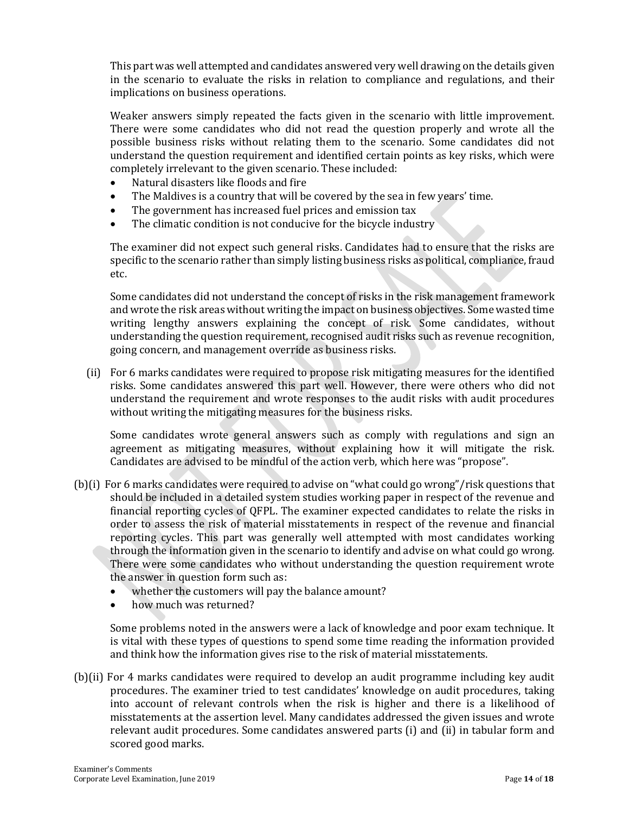This part was well attempted and candidates answered very well drawing on the details given in the scenario to evaluate the risks in relation to compliance and regulations, and their implications on business operations.

Weaker answers simply repeated the facts given in the scenario with little improvement. There were some candidates who did not read the question properly and wrote all the possible business risks without relating them to the scenario. Some candidates did not understand the question requirement and identified certain points as key risks, which were completely irrelevant to the given scenario. These included:

- Natural disasters like floods and fire
- The Maldives is a country that will be covered by the sea in few years' time.
- The government has increased fuel prices and emission tax
- The climatic condition is not conducive for the bicycle industry

The examiner did not expect such general risks. Candidates had to ensure that the risks are specific to the scenario rather than simply listing business risks as political, compliance, fraud etc.

Some candidates did not understand the concept of risks in the risk management framework and wrote the risk areas without writing the impact on business objectives. Some wasted time writing lengthy answers explaining the concept of risk. Some candidates, without understanding the question requirement, recognised audit risks such as revenue recognition, going concern, and management override as business risks.

 (ii) For 6 marks candidates were required to propose risk mitigating measures for the identified risks. Some candidates answered this part well. However, there were others who did not understand the requirement and wrote responses to the audit risks with audit procedures without writing the mitigating measures for the business risks.

Some candidates wrote general answers such as comply with regulations and sign an agreement as mitigating measures, without explaining how it will mitigate the risk. Candidates are advised to be mindful of the action verb, which here was "propose".

- (b)(i) For 6 marks candidates were required to advise on "what could go wrong"/risk questions that should be included in a detailed system studies working paper in respect of the revenue and financial reporting cycles of QFPL. The examiner expected candidates to relate the risks in order to assess the risk of material misstatements in respect of the revenue and financial reporting cycles. This part was generally well attempted with most candidates working through the information given in the scenario to identify and advise on what could go wrong. There were some candidates who without understanding the question requirement wrote the answer in question form such as:
	- whether the customers will pay the balance amount?
	- how much was returned?

Some problems noted in the answers were a lack of knowledge and poor exam technique. It is vital with these types of questions to spend some time reading the information provided and think how the information gives rise to the risk of material misstatements.

(b)(ii) For 4 marks candidates were required to develop an audit programme including key audit procedures. The examiner tried to test candidates' knowledge on audit procedures, taking into account of relevant controls when the risk is higher and there is a likelihood of misstatements at the assertion level. Many candidates addressed the given issues and wrote relevant audit procedures. Some candidates answered parts (i) and (ii) in tabular form and scored good marks.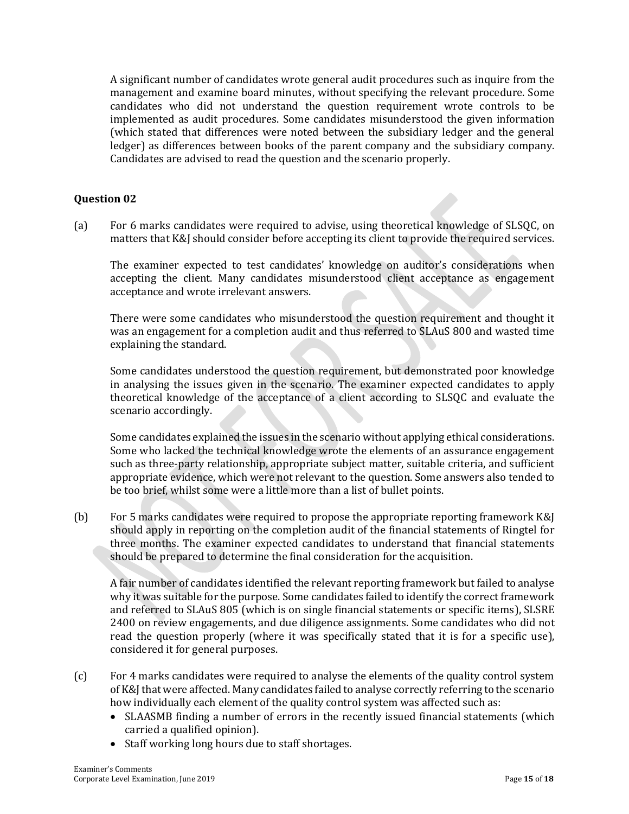A significant number of candidates wrote general audit procedures such as inquire from the management and examine board minutes, without specifying the relevant procedure. Some candidates who did not understand the question requirement wrote controls to be implemented as audit procedures. Some candidates misunderstood the given information (which stated that differences were noted between the subsidiary ledger and the general ledger) as differences between books of the parent company and the subsidiary company. Candidates are advised to read the question and the scenario properly.

### **Question 02**

(a) For 6 marks candidates were required to advise, using theoretical knowledge of SLSQC, on matters that K&J should consider before accepting its client to provide the required services.

The examiner expected to test candidates' knowledge on auditor's considerations when accepting the client. Many candidates misunderstood client acceptance as engagement acceptance and wrote irrelevant answers.

There were some candidates who misunderstood the question requirement and thought it was an engagement for a completion audit and thus referred to SLAuS 800 and wasted time explaining the standard.

Some candidates understood the question requirement, but demonstrated poor knowledge in analysing the issues given in the scenario. The examiner expected candidates to apply theoretical knowledge of the acceptance of a client according to SLSQC and evaluate the scenario accordingly.

Some candidates explained the issues in the scenario without applying ethical considerations. Some who lacked the technical knowledge wrote the elements of an assurance engagement such as three-party relationship, appropriate subject matter, suitable criteria, and sufficient appropriate evidence, which were not relevant to the question. Some answers also tended to be too brief, whilst some were a little more than a list of bullet points.

(b) For 5 marks candidates were required to propose the appropriate reporting framework K&J should apply in reporting on the completion audit of the financial statements of Ringtel for three months. The examiner expected candidates to understand that financial statements should be prepared to determine the final consideration for the acquisition.

A fair number of candidates identified the relevant reporting framework but failed to analyse why it was suitable for the purpose. Some candidates failed to identify the correct framework and referred to SLAuS 805 (which is on single financial statements or specific items), SLSRE 2400 on review engagements, and due diligence assignments. Some candidates who did not read the question properly (where it was specifically stated that it is for a specific use), considered it for general purposes.

- (c) For 4 marks candidates were required to analyse the elements of the quality control system of K&J that were affected. Many candidates failed to analyse correctly referring to the scenario how individually each element of the quality control system was affected such as:
	- SLAASMB finding a number of errors in the recently issued financial statements (which carried a qualified opinion).
	- Staff working long hours due to staff shortages.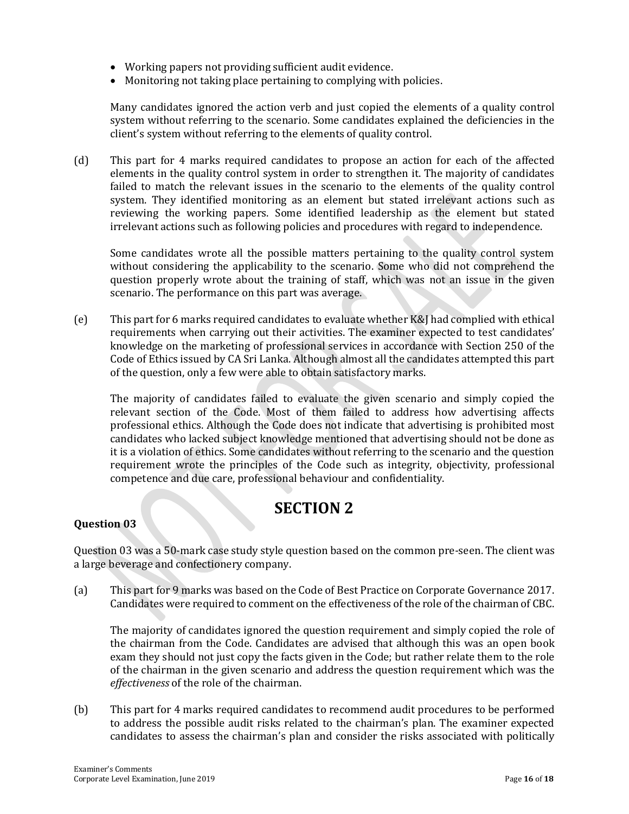- Working papers not providing sufficient audit evidence.
- Monitoring not taking place pertaining to complying with policies.

Many candidates ignored the action verb and just copied the elements of a quality control system without referring to the scenario. Some candidates explained the deficiencies in the client's system without referring to the elements of quality control.

(d) This part for 4 marks required candidates to propose an action for each of the affected elements in the quality control system in order to strengthen it. The majority of candidates failed to match the relevant issues in the scenario to the elements of the quality control system. They identified monitoring as an element but stated irrelevant actions such as reviewing the working papers. Some identified leadership as the element but stated irrelevant actions such as following policies and procedures with regard to independence.

Some candidates wrote all the possible matters pertaining to the quality control system without considering the applicability to the scenario. Some who did not comprehend the question properly wrote about the training of staff, which was not an issue in the given scenario. The performance on this part was average.

(e) This part for 6 marks required candidates to evaluate whether K&J had complied with ethical requirements when carrying out their activities. The examiner expected to test candidates' knowledge on the marketing of professional services in accordance with Section 250 of the Code of Ethics issued by CA Sri Lanka. Although almost all the candidates attempted this part of the question, only a few were able to obtain satisfactory marks.

The majority of candidates failed to evaluate the given scenario and simply copied the relevant section of the Code. Most of them failed to address how advertising affects professional ethics. Although the Code does not indicate that advertising is prohibited most candidates who lacked subject knowledge mentioned that advertising should not be done as it is a violation of ethics. Some candidates without referring to the scenario and the question requirement wrote the principles of the Code such as integrity, objectivity, professional competence and due care, professional behaviour and confidentiality.

### **SECTION 2**

### **Question 03**

Question 03 was a 50-mark case study style question based on the common pre-seen. The client was a large beverage and confectionery company.

(a) This part for 9 marks was based on the Code of Best Practice on Corporate Governance 2017. Candidates were required to comment on the effectiveness of the role of the chairman of CBC.

The majority of candidates ignored the question requirement and simply copied the role of the chairman from the Code. Candidates are advised that although this was an open book exam they should not just copy the facts given in the Code; but rather relate them to the role of the chairman in the given scenario and address the question requirement which was the *effectiveness* of the role of the chairman.

(b) This part for 4 marks required candidates to recommend audit procedures to be performed to address the possible audit risks related to the chairman's plan. The examiner expected candidates to assess the chairman's plan and consider the risks associated with politically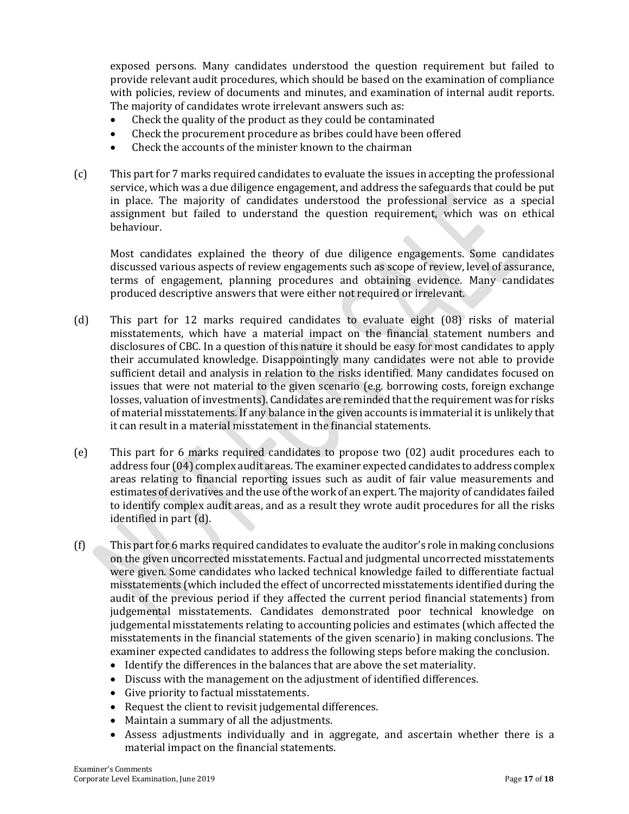exposed persons. Many candidates understood the question requirement but failed to provide relevant audit procedures, which should be based on the examination of compliance with policies, review of documents and minutes, and examination of internal audit reports. The majority of candidates wrote irrelevant answers such as:

- Check the quality of the product as they could be contaminated
- Check the procurement procedure as bribes could have been offered
- Check the accounts of the minister known to the chairman
- (c) This part for 7 marks required candidates to evaluate the issues in accepting the professional service, which was a due diligence engagement, and address the safeguards that could be put in place. The majority of candidates understood the professional service as a special assignment but failed to understand the question requirement, which was on ethical behaviour.

Most candidates explained the theory of due diligence engagements. Some candidates discussed various aspects of review engagements such as scope of review, level of assurance, terms of engagement, planning procedures and obtaining evidence. Many candidates produced descriptive answers that were either not required or irrelevant.

- (d) This part for 12 marks required candidates to evaluate eight (08) risks of material misstatements, which have a material impact on the financial statement numbers and disclosures of CBC. In a question of this nature it should be easy for most candidates to apply their accumulated knowledge. Disappointingly many candidates were not able to provide sufficient detail and analysis in relation to the risks identified. Many candidates focused on issues that were not material to the given scenario (e.g. borrowing costs, foreign exchange losses, valuation of investments). Candidates are reminded that the requirement was for risks of material misstatements. If any balance in the given accounts is immaterial it is unlikely that it can result in a material misstatement in the financial statements.
- (e) This part for 6 marks required candidates to propose two (02) audit procedures each to address four (04) complex audit areas. The examiner expected candidates to address complex areas relating to financial reporting issues such as audit of fair value measurements and estimates of derivatives and the use of the work of an expert. The majority of candidates failed to identify complex audit areas, and as a result they wrote audit procedures for all the risks identified in part (d).
- (f) This part for 6 marks required candidates to evaluate the auditor's role in making conclusions on the given uncorrected misstatements. Factual and judgmental uncorrected misstatements were given. Some candidates who lacked technical knowledge failed to differentiate factual misstatements (which included the effect of uncorrected misstatements identified during the audit of the previous period if they affected the current period financial statements) from judgemental misstatements. Candidates demonstrated poor technical knowledge on judgemental misstatements relating to accounting policies and estimates (which affected the misstatements in the financial statements of the given scenario) in making conclusions. The examiner expected candidates to address the following steps before making the conclusion.
	- Identify the differences in the balances that are above the set materiality.
	- Discuss with the management on the adjustment of identified differences.
	- Give priority to factual misstatements.
	- Request the client to revisit judgemental differences.
	- Maintain a summary of all the adjustments.
	- Assess adjustments individually and in aggregate, and ascertain whether there is a material impact on the financial statements.